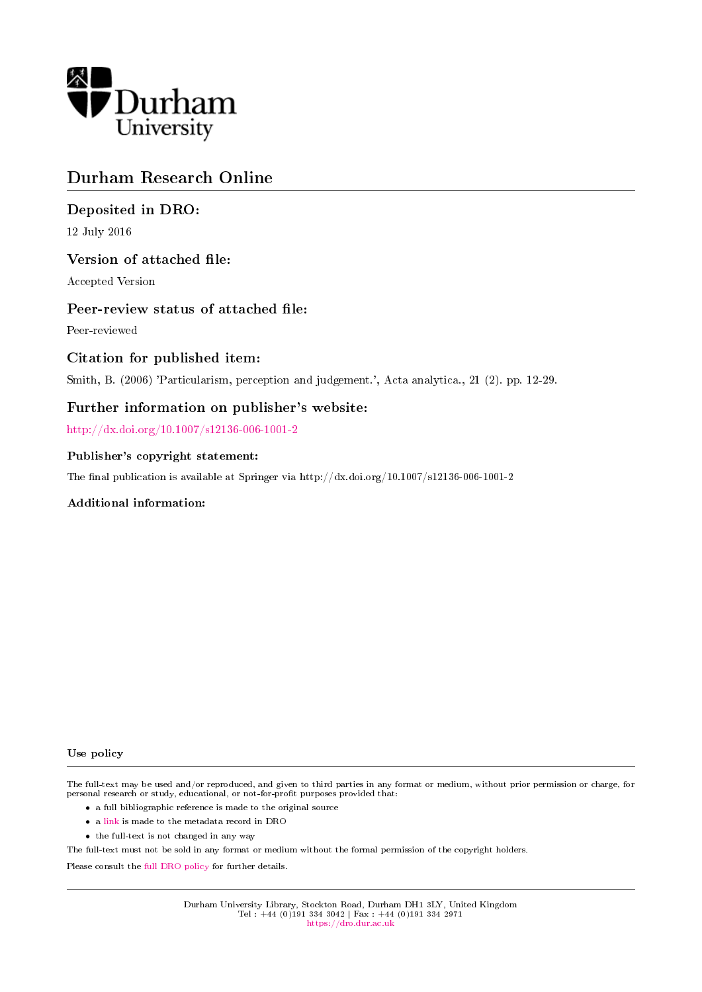

# Durham Research Online

# Deposited in DRO:

12 July 2016

## Version of attached file:

Accepted Version

## Peer-review status of attached file:

Peer-reviewed

### Citation for published item:

Smith, B. (2006) 'Particularism, perception and judgement.', Acta analytica., 21 (2). pp. 12-29.

# Further information on publisher's website:

<http://dx.doi.org/10.1007/s12136-006-1001-2>

### Publisher's copyright statement:

The final publication is available at Springer via http://dx.doi.org/10.1007/s12136-006-1001-2

### Additional information:

#### Use policy

The full-text may be used and/or reproduced, and given to third parties in any format or medium, without prior permission or charge, for personal research or study, educational, or not-for-profit purposes provided that:

- a full bibliographic reference is made to the original source
- a [link](http://dro.dur.ac.uk/2869/) is made to the metadata record in DRO
- the full-text is not changed in any way

The full-text must not be sold in any format or medium without the formal permission of the copyright holders.

Please consult the [full DRO policy](https://dro.dur.ac.uk/policies/usepolicy.pdf) for further details.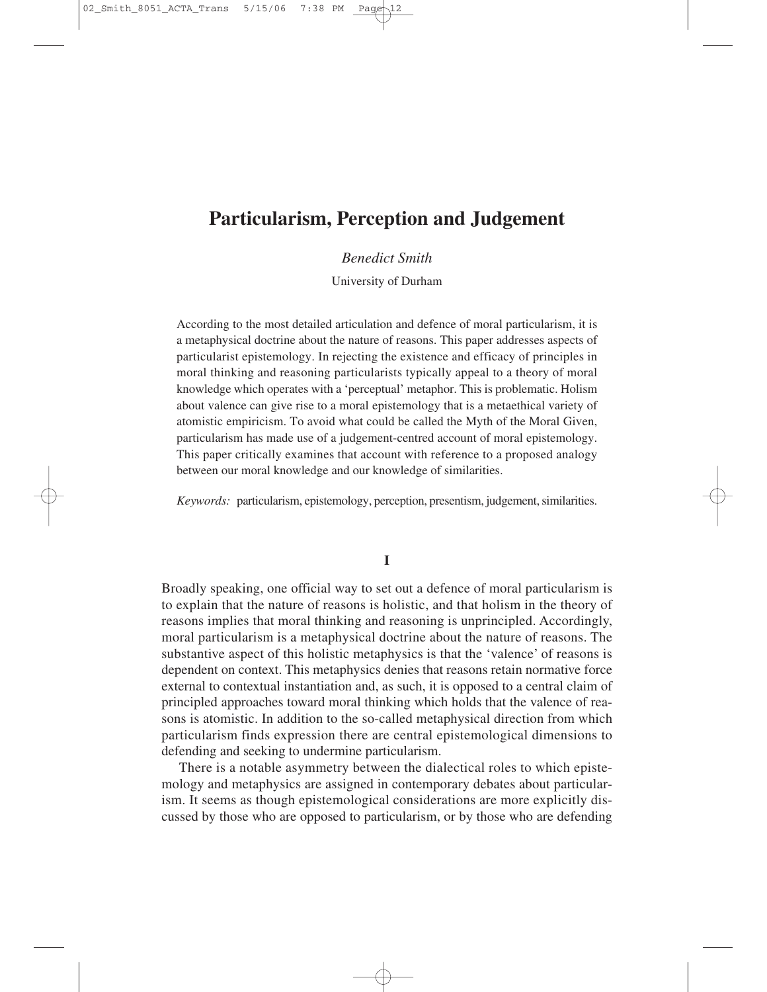*Benedict Smith*

University of Durham

According to the most detailed articulation and defence of moral particularism, it is a metaphysical doctrine about the nature of reasons. This paper addresses aspects of particularist epistemology. In rejecting the existence and efficacy of principles in moral thinking and reasoning particularists typically appeal to a theory of moral knowledge which operates with a 'perceptual' metaphor. This is problematic. Holism about valence can give rise to a moral epistemology that is a metaethical variety of atomistic empiricism. To avoid what could be called the Myth of the Moral Given, particularism has made use of a judgement-centred account of moral epistemology. This paper critically examines that account with reference to a proposed analogy between our moral knowledge and our knowledge of similarities.

*Keywords:* particularism, epistemology, perception, presentism, judgement, similarities.

#### **I**

Broadly speaking, one official way to set out a defence of moral particularism is to explain that the nature of reasons is holistic, and that holism in the theory of reasons implies that moral thinking and reasoning is unprincipled. Accordingly, moral particularism is a metaphysical doctrine about the nature of reasons. The substantive aspect of this holistic metaphysics is that the 'valence' of reasons is dependent on context. This metaphysics denies that reasons retain normative force external to contextual instantiation and, as such, it is opposed to a central claim of principled approaches toward moral thinking which holds that the valence of reasons is atomistic. In addition to the so-called metaphysical direction from which particularism finds expression there are central epistemological dimensions to defending and seeking to undermine particularism.

There is a notable asymmetry between the dialectical roles to which epistemology and metaphysics are assigned in contemporary debates about particularism. It seems as though epistemological considerations are more explicitly discussed by those who are opposed to particularism, or by those who are defending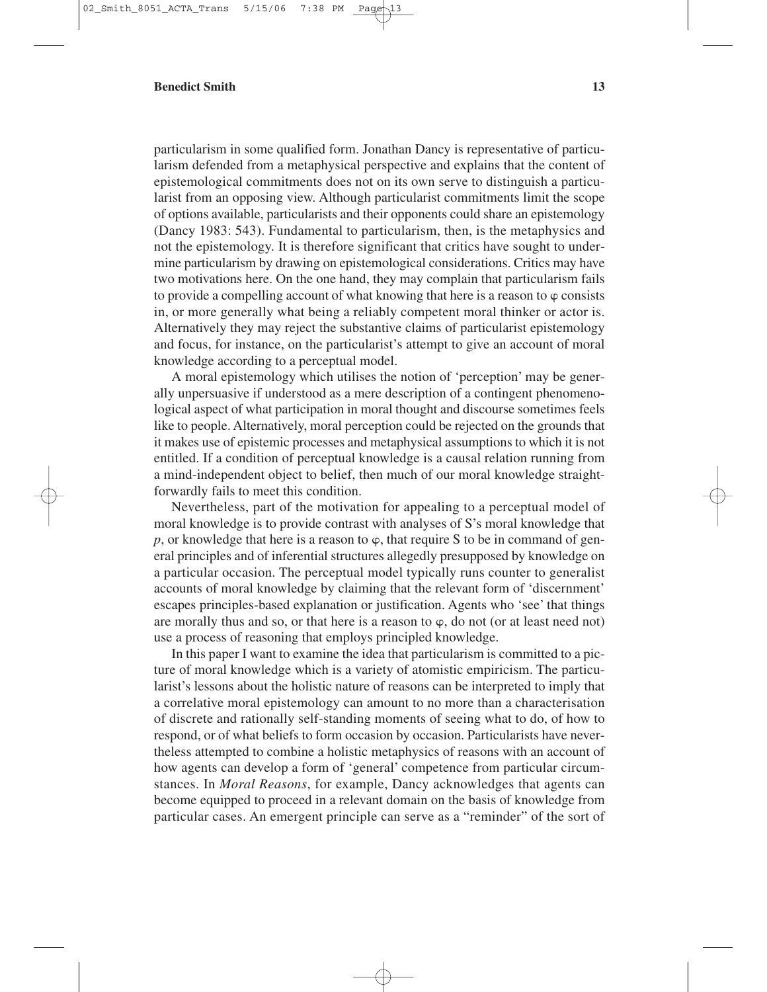particularism in some qualified form. Jonathan Dancy is representative of particularism defended from a metaphysical perspective and explains that the content of epistemological commitments does not on its own serve to distinguish a particularist from an opposing view. Although particularist commitments limit the scope of options available, particularists and their opponents could share an epistemology (Dancy 1983: 543). Fundamental to particularism, then, is the metaphysics and not the epistemology. It is therefore significant that critics have sought to undermine particularism by drawing on epistemological considerations. Critics may have two motivations here. On the one hand, they may complain that particularism fails to provide a compelling account of what knowing that here is a reason to  $\varphi$  consists in, or more generally what being a reliably competent moral thinker or actor is. Alternatively they may reject the substantive claims of particularist epistemology and focus, for instance, on the particularist's attempt to give an account of moral knowledge according to a perceptual model.

A moral epistemology which utilises the notion of 'perception' may be generally unpersuasive if understood as a mere description of a contingent phenomenological aspect of what participation in moral thought and discourse sometimes feels like to people. Alternatively, moral perception could be rejected on the grounds that it makes use of epistemic processes and metaphysical assumptions to which it is not entitled. If a condition of perceptual knowledge is a causal relation running from a mind-independent object to belief, then much of our moral knowledge straightforwardly fails to meet this condition.

Nevertheless, part of the motivation for appealing to a perceptual model of moral knowledge is to provide contrast with analyses of S's moral knowledge that  $p$ , or knowledge that here is a reason to  $\varphi$ , that require S to be in command of general principles and of inferential structures allegedly presupposed by knowledge on a particular occasion. The perceptual model typically runs counter to generalist accounts of moral knowledge by claiming that the relevant form of 'discernment' escapes principles-based explanation or justification. Agents who 'see' that things are morally thus and so, or that here is a reason to  $\varphi$ , do not (or at least need not) use a process of reasoning that employs principled knowledge.

In this paper I want to examine the idea that particularism is committed to a picture of moral knowledge which is a variety of atomistic empiricism. The particularist's lessons about the holistic nature of reasons can be interpreted to imply that a correlative moral epistemology can amount to no more than a characterisation of discrete and rationally self-standing moments of seeing what to do, of how to respond, or of what beliefs to form occasion by occasion. Particularists have nevertheless attempted to combine a holistic metaphysics of reasons with an account of how agents can develop a form of 'general' competence from particular circumstances. In *Moral Reasons*, for example, Dancy acknowledges that agents can become equipped to proceed in a relevant domain on the basis of knowledge from particular cases. An emergent principle can serve as a "reminder" of the sort of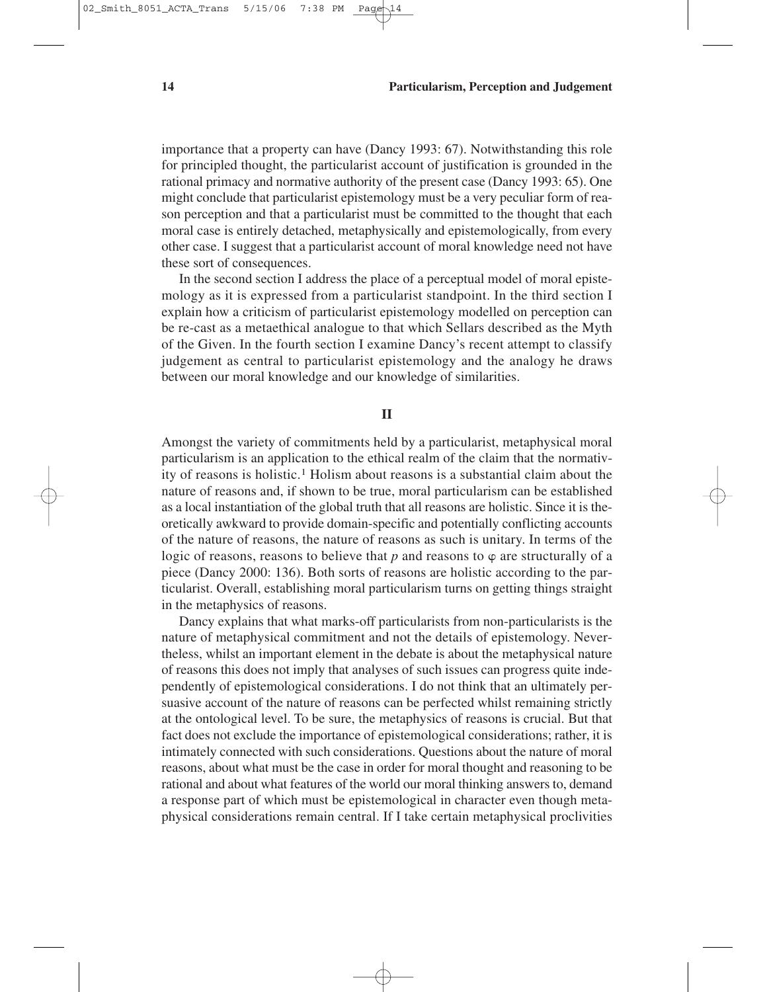importance that a property can have (Dancy 1993: 67). Notwithstanding this role for principled thought, the particularist account of justification is grounded in the rational primacy and normative authority of the present case (Dancy 1993: 65). One might conclude that particularist epistemology must be a very peculiar form of reason perception and that a particularist must be committed to the thought that each moral case is entirely detached, metaphysically and epistemologically, from every other case. I suggest that a particularist account of moral knowledge need not have these sort of consequences.

In the second section I address the place of a perceptual model of moral epistemology as it is expressed from a particularist standpoint. In the third section I explain how a criticism of particularist epistemology modelled on perception can be re-cast as a metaethical analogue to that which Sellars described as the Myth of the Given. In the fourth section I examine Dancy's recent attempt to classify judgement as central to particularist epistemology and the analogy he draws between our moral knowledge and our knowledge of similarities.

### **II**

Amongst the variety of commitments held by a particularist, metaphysical moral particularism is an application to the ethical realm of the claim that the normativity of reasons is holistic.<sup>1</sup> Holism about reasons is a substantial claim about the nature of reasons and, if shown to be true, moral particularism can be established as a local instantiation of the global truth that all reasons are holistic. Since it is theoretically awkward to provide domain-specific and potentially conflicting accounts of the nature of reasons, the nature of reasons as such is unitary. In terms of the logic of reasons, reasons to believe that  $p$  and reasons to  $\varphi$  are structurally of a piece (Dancy 2000: 136). Both sorts of reasons are holistic according to the particularist. Overall, establishing moral particularism turns on getting things straight in the metaphysics of reasons.

Dancy explains that what marks-off particularists from non-particularists is the nature of metaphysical commitment and not the details of epistemology. Nevertheless, whilst an important element in the debate is about the metaphysical nature of reasons this does not imply that analyses of such issues can progress quite independently of epistemological considerations. I do not think that an ultimately persuasive account of the nature of reasons can be perfected whilst remaining strictly at the ontological level. To be sure, the metaphysics of reasons is crucial. But that fact does not exclude the importance of epistemological considerations; rather, it is intimately connected with such considerations. Questions about the nature of moral reasons, about what must be the case in order for moral thought and reasoning to be rational and about what features of the world our moral thinking answers to, demand a response part of which must be epistemological in character even though metaphysical considerations remain central. If I take certain metaphysical proclivities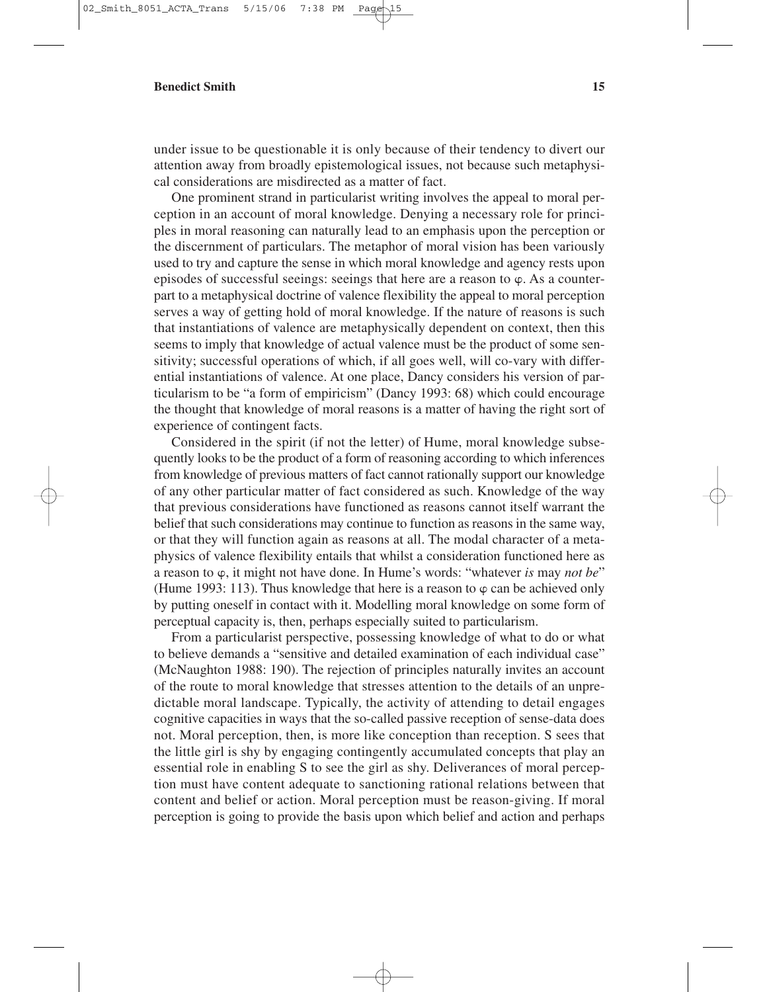under issue to be questionable it is only because of their tendency to divert our attention away from broadly epistemological issues, not because such metaphysical considerations are misdirected as a matter of fact.

One prominent strand in particularist writing involves the appeal to moral perception in an account of moral knowledge. Denying a necessary role for principles in moral reasoning can naturally lead to an emphasis upon the perception or the discernment of particulars. The metaphor of moral vision has been variously used to try and capture the sense in which moral knowledge and agency rests upon episodes of successful seeings: seeings that here are a reason to  $\varphi$ . As a counterpart to a metaphysical doctrine of valence flexibility the appeal to moral perception serves a way of getting hold of moral knowledge. If the nature of reasons is such that instantiations of valence are metaphysically dependent on context, then this seems to imply that knowledge of actual valence must be the product of some sensitivity; successful operations of which, if all goes well, will co-vary with differential instantiations of valence. At one place, Dancy considers his version of particularism to be "a form of empiricism" (Dancy 1993: 68) which could encourage the thought that knowledge of moral reasons is a matter of having the right sort of experience of contingent facts.

Considered in the spirit (if not the letter) of Hume, moral knowledge subsequently looks to be the product of a form of reasoning according to which inferences from knowledge of previous matters of fact cannot rationally support our knowledge of any other particular matter of fact considered as such. Knowledge of the way that previous considerations have functioned as reasons cannot itself warrant the belief that such considerations may continue to function as reasons in the same way, or that they will function again as reasons at all. The modal character of a metaphysics of valence flexibility entails that whilst a consideration functioned here as a reason to  $\varphi$ , it might not have done. In Hume's words: "whatever *is* may *not be*" (Hume 1993: 113). Thus knowledge that here is a reason to  $\varphi$  can be achieved only by putting oneself in contact with it. Modelling moral knowledge on some form of perceptual capacity is, then, perhaps especially suited to particularism.

From a particularist perspective, possessing knowledge of what to do or what to believe demands a "sensitive and detailed examination of each individual case" (McNaughton 1988: 190). The rejection of principles naturally invites an account of the route to moral knowledge that stresses attention to the details of an unpredictable moral landscape. Typically, the activity of attending to detail engages cognitive capacities in ways that the so-called passive reception of sense-data does not. Moral perception, then, is more like conception than reception. S sees that the little girl is shy by engaging contingently accumulated concepts that play an essential role in enabling S to see the girl as shy. Deliverances of moral perception must have content adequate to sanctioning rational relations between that content and belief or action. Moral perception must be reason-giving. If moral perception is going to provide the basis upon which belief and action and perhaps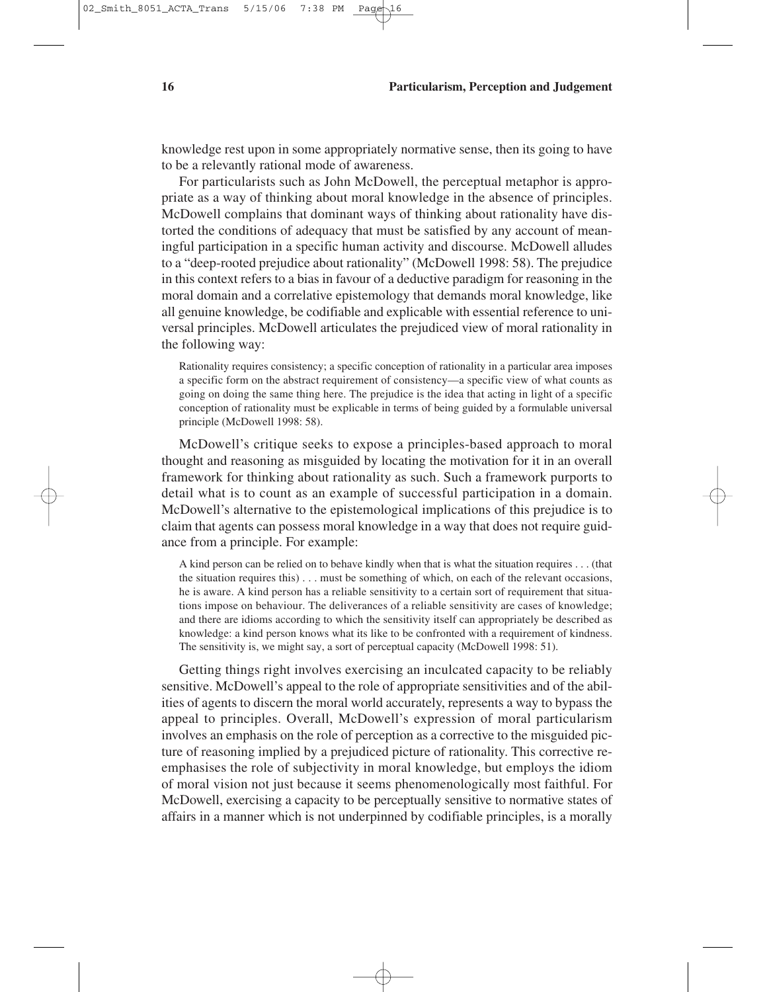knowledge rest upon in some appropriately normative sense, then its going to have to be a relevantly rational mode of awareness.

For particularists such as John McDowell, the perceptual metaphor is appropriate as a way of thinking about moral knowledge in the absence of principles. McDowell complains that dominant ways of thinking about rationality have distorted the conditions of adequacy that must be satisfied by any account of meaningful participation in a specific human activity and discourse. McDowell alludes to a "deep-rooted prejudice about rationality" (McDowell 1998: 58). The prejudice in this context refers to a bias in favour of a deductive paradigm for reasoning in the moral domain and a correlative epistemology that demands moral knowledge, like all genuine knowledge, be codifiable and explicable with essential reference to universal principles. McDowell articulates the prejudiced view of moral rationality in the following way:

Rationality requires consistency; a specific conception of rationality in a particular area imposes a specific form on the abstract requirement of consistency—a specific view of what counts as going on doing the same thing here. The prejudice is the idea that acting in light of a specific conception of rationality must be explicable in terms of being guided by a formulable universal principle (McDowell 1998: 58).

McDowell's critique seeks to expose a principles-based approach to moral thought and reasoning as misguided by locating the motivation for it in an overall framework for thinking about rationality as such. Such a framework purports to detail what is to count as an example of successful participation in a domain. McDowell's alternative to the epistemological implications of this prejudice is to claim that agents can possess moral knowledge in a way that does not require guidance from a principle. For example:

A kind person can be relied on to behave kindly when that is what the situation requires . . . (that the situation requires this) . . . must be something of which, on each of the relevant occasions, he is aware. A kind person has a reliable sensitivity to a certain sort of requirement that situations impose on behaviour. The deliverances of a reliable sensitivity are cases of knowledge; and there are idioms according to which the sensitivity itself can appropriately be described as knowledge: a kind person knows what its like to be confronted with a requirement of kindness. The sensitivity is, we might say, a sort of perceptual capacity (McDowell 1998: 51).

Getting things right involves exercising an inculcated capacity to be reliably sensitive. McDowell's appeal to the role of appropriate sensitivities and of the abilities of agents to discern the moral world accurately, represents a way to bypass the appeal to principles. Overall, McDowell's expression of moral particularism involves an emphasis on the role of perception as a corrective to the misguided picture of reasoning implied by a prejudiced picture of rationality. This corrective reemphasises the role of subjectivity in moral knowledge, but employs the idiom of moral vision not just because it seems phenomenologically most faithful. For McDowell, exercising a capacity to be perceptually sensitive to normative states of affairs in a manner which is not underpinned by codifiable principles, is a morally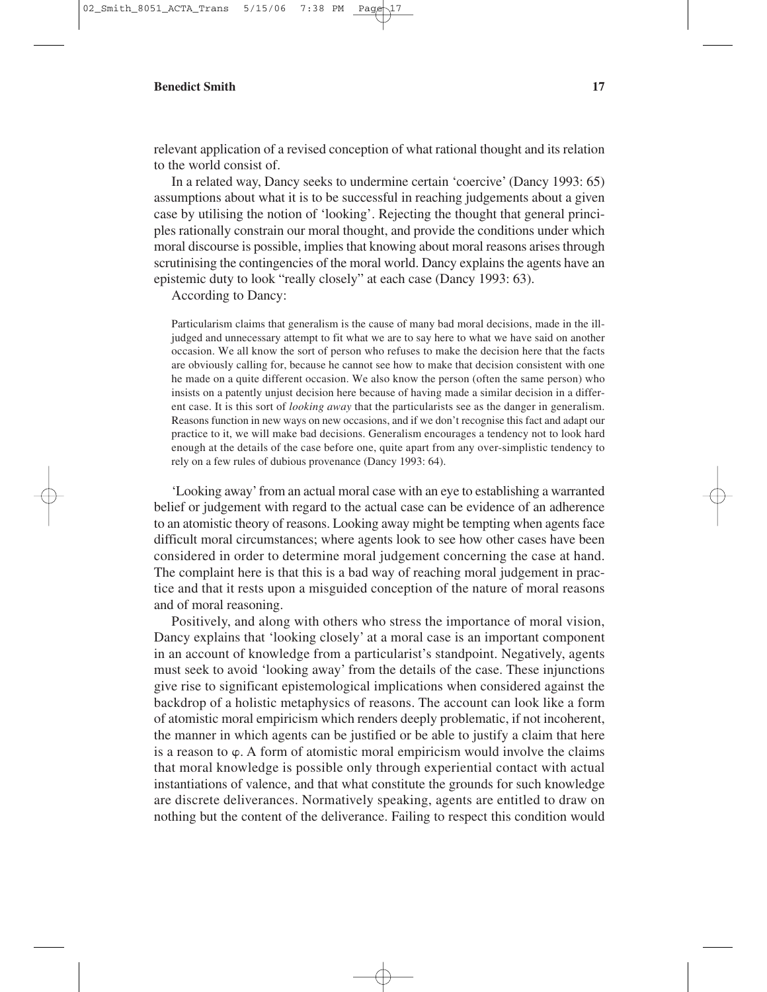to the world consist of.

In a related way, Dancy seeks to undermine certain 'coercive' (Dancy 1993: 65) assumptions about what it is to be successful in reaching judgements about a given case by utilising the notion of 'looking'. Rejecting the thought that general principles rationally constrain our moral thought, and provide the conditions under which moral discourse is possible, implies that knowing about moral reasons arises through scrutinising the contingencies of the moral world. Dancy explains the agents have an epistemic duty to look "really closely" at each case (Dancy 1993: 63).

According to Dancy:

Particularism claims that generalism is the cause of many bad moral decisions, made in the illjudged and unnecessary attempt to fit what we are to say here to what we have said on another occasion. We all know the sort of person who refuses to make the decision here that the facts are obviously calling for, because he cannot see how to make that decision consistent with one he made on a quite different occasion. We also know the person (often the same person) who insists on a patently unjust decision here because of having made a similar decision in a different case. It is this sort of *looking away* that the particularists see as the danger in generalism. Reasons function in new ways on new occasions, and if we don't recognise this fact and adapt our practice to it, we will make bad decisions. Generalism encourages a tendency not to look hard enough at the details of the case before one, quite apart from any over-simplistic tendency to rely on a few rules of dubious provenance (Dancy 1993: 64).

'Looking away'from an actual moral case with an eye to establishing a warranted belief or judgement with regard to the actual case can be evidence of an adherence to an atomistic theory of reasons. Looking away might be tempting when agents face difficult moral circumstances; where agents look to see how other cases have been considered in order to determine moral judgement concerning the case at hand. The complaint here is that this is a bad way of reaching moral judgement in practice and that it rests upon a misguided conception of the nature of moral reasons and of moral reasoning.

Positively, and along with others who stress the importance of moral vision, Dancy explains that 'looking closely' at a moral case is an important component in an account of knowledge from a particularist's standpoint. Negatively, agents must seek to avoid 'looking away' from the details of the case. These injunctions give rise to significant epistemological implications when considered against the backdrop of a holistic metaphysics of reasons. The account can look like a form of atomistic moral empiricism which renders deeply problematic, if not incoherent, the manner in which agents can be justified or be able to justify a claim that here is a reason to  $\varphi$ . A form of atomistic moral empiricism would involve the claims that moral knowledge is possible only through experiential contact with actual instantiations of valence, and that what constitute the grounds for such knowledge are discrete deliverances. Normatively speaking, agents are entitled to draw on nothing but the content of the deliverance. Failing to respect this condition would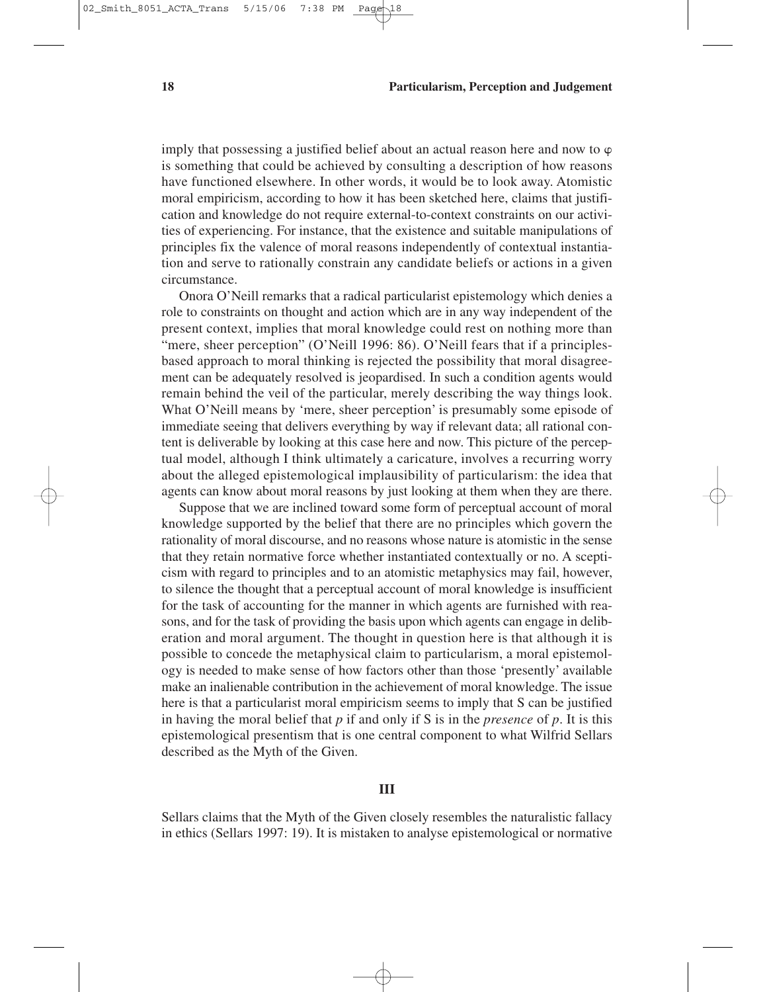imply that possessing a justified belief about an actual reason here and now to  $\varphi$ is something that could be achieved by consulting a description of how reasons have functioned elsewhere. In other words, it would be to look away. Atomistic moral empiricism, according to how it has been sketched here, claims that justification and knowledge do not require external-to-context constraints on our activities of experiencing. For instance, that the existence and suitable manipulations of principles fix the valence of moral reasons independently of contextual instantiation and serve to rationally constrain any candidate beliefs or actions in a given circumstance.

Onora O'Neill remarks that a radical particularist epistemology which denies a role to constraints on thought and action which are in any way independent of the present context, implies that moral knowledge could rest on nothing more than "mere, sheer perception" (O'Neill 1996: 86). O'Neill fears that if a principlesbased approach to moral thinking is rejected the possibility that moral disagreement can be adequately resolved is jeopardised. In such a condition agents would remain behind the veil of the particular, merely describing the way things look. What O'Neill means by 'mere, sheer perception' is presumably some episode of immediate seeing that delivers everything by way if relevant data; all rational content is deliverable by looking at this case here and now. This picture of the perceptual model, although I think ultimately a caricature, involves a recurring worry about the alleged epistemological implausibility of particularism: the idea that agents can know about moral reasons by just looking at them when they are there.

Suppose that we are inclined toward some form of perceptual account of moral knowledge supported by the belief that there are no principles which govern the rationality of moral discourse, and no reasons whose nature is atomistic in the sense that they retain normative force whether instantiated contextually or no. A scepticism with regard to principles and to an atomistic metaphysics may fail, however, to silence the thought that a perceptual account of moral knowledge is insufficient for the task of accounting for the manner in which agents are furnished with reasons, and for the task of providing the basis upon which agents can engage in deliberation and moral argument. The thought in question here is that although it is possible to concede the metaphysical claim to particularism, a moral epistemology is needed to make sense of how factors other than those 'presently' available make an inalienable contribution in the achievement of moral knowledge. The issue here is that a particularist moral empiricism seems to imply that S can be justified in having the moral belief that *p* if and only if S is in the *presence* of *p*. It is this epistemological presentism that is one central component to what Wilfrid Sellars described as the Myth of the Given.

### **III**

Sellars claims that the Myth of the Given closely resembles the naturalistic fallacy in ethics (Sellars 1997: 19). It is mistaken to analyse epistemological or normative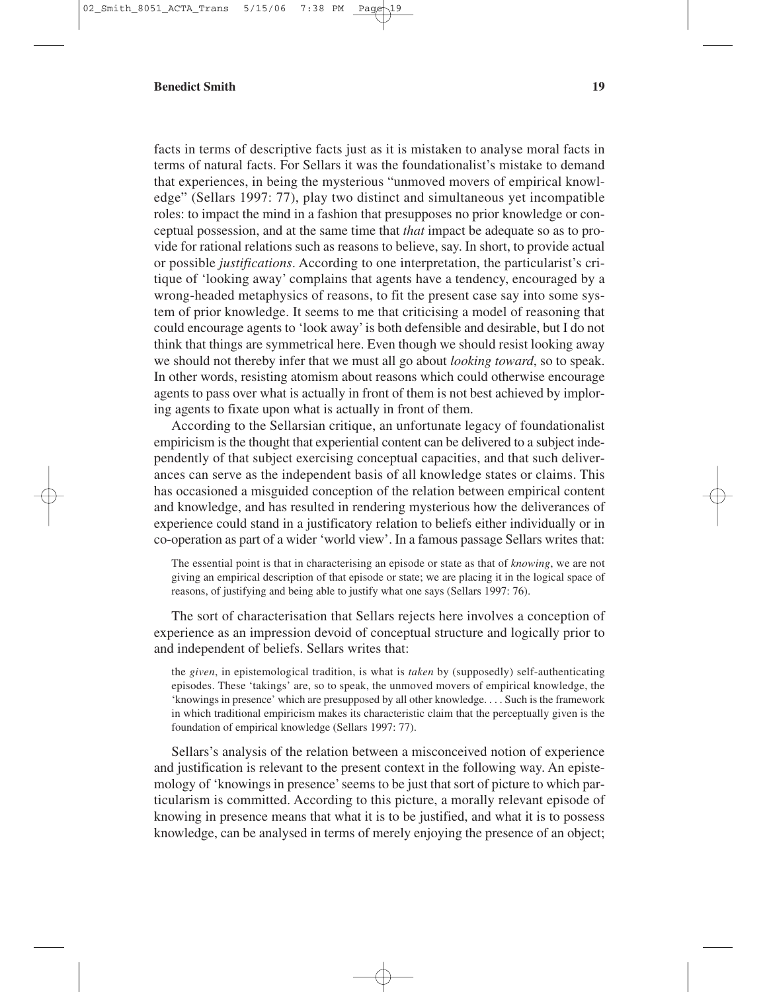facts in terms of descriptive facts just as it is mistaken to analyse moral facts in terms of natural facts. For Sellars it was the foundationalist's mistake to demand that experiences, in being the mysterious "unmoved movers of empirical knowledge" (Sellars 1997: 77), play two distinct and simultaneous yet incompatible roles: to impact the mind in a fashion that presupposes no prior knowledge or conceptual possession, and at the same time that *that* impact be adequate so as to provide for rational relations such as reasons to believe, say. In short, to provide actual or possible *justifications*. According to one interpretation, the particularist's critique of 'looking away' complains that agents have a tendency, encouraged by a wrong-headed metaphysics of reasons, to fit the present case say into some system of prior knowledge. It seems to me that criticising a model of reasoning that could encourage agents to 'look away' is both defensible and desirable, but I do not think that things are symmetrical here. Even though we should resist looking away we should not thereby infer that we must all go about *looking toward*, so to speak. In other words, resisting atomism about reasons which could otherwise encourage agents to pass over what is actually in front of them is not best achieved by imploring agents to fixate upon what is actually in front of them.

According to the Sellarsian critique, an unfortunate legacy of foundationalist empiricism is the thought that experiential content can be delivered to a subject independently of that subject exercising conceptual capacities, and that such deliverances can serve as the independent basis of all knowledge states or claims. This has occasioned a misguided conception of the relation between empirical content and knowledge, and has resulted in rendering mysterious how the deliverances of experience could stand in a justificatory relation to beliefs either individually or in co-operation as part of a wider 'world view'. In a famous passage Sellars writes that:

The essential point is that in characterising an episode or state as that of *knowing*, we are not giving an empirical description of that episode or state; we are placing it in the logical space of reasons, of justifying and being able to justify what one says (Sellars 1997: 76).

The sort of characterisation that Sellars rejects here involves a conception of experience as an impression devoid of conceptual structure and logically prior to and independent of beliefs. Sellars writes that:

the *given*, in epistemological tradition, is what is *taken* by (supposedly) self-authenticating episodes. These 'takings' are, so to speak, the unmoved movers of empirical knowledge, the 'knowings in presence' which are presupposed by all other knowledge. . . . Such is the framework in which traditional empiricism makes its characteristic claim that the perceptually given is the foundation of empirical knowledge (Sellars 1997: 77).

Sellars's analysis of the relation between a misconceived notion of experience and justification is relevant to the present context in the following way. An epistemology of 'knowings in presence' seems to be just that sort of picture to which particularism is committed. According to this picture, a morally relevant episode of knowing in presence means that what it is to be justified, and what it is to possess knowledge, can be analysed in terms of merely enjoying the presence of an object;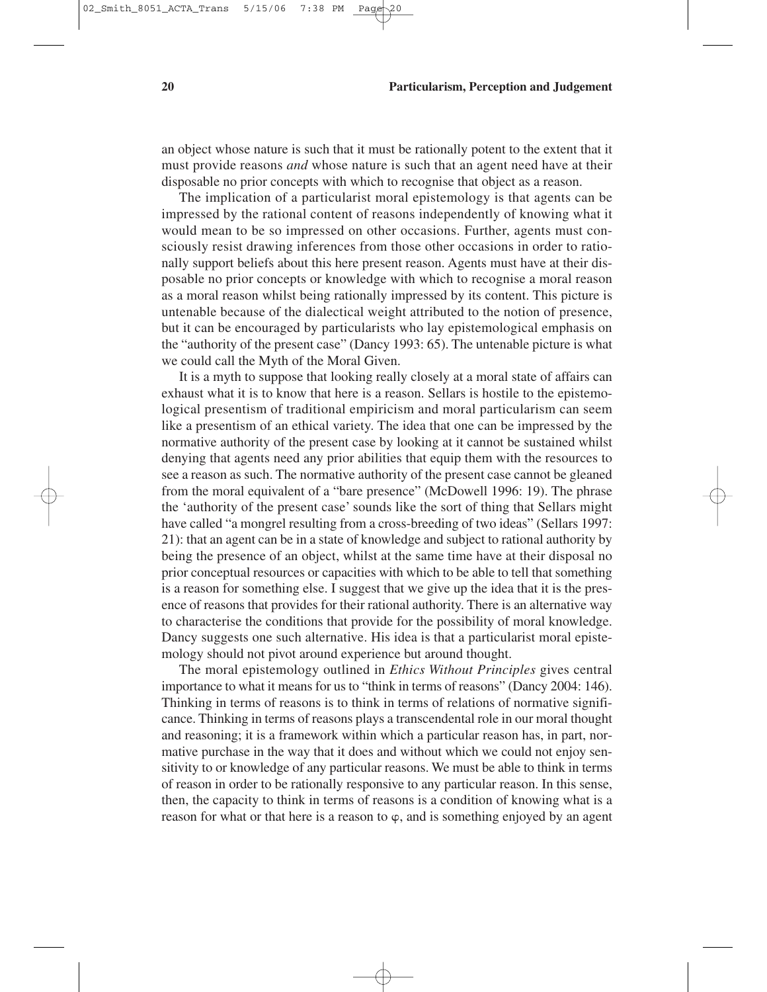an object whose nature is such that it must be rationally potent to the extent that it must provide reasons *and* whose nature is such that an agent need have at their disposable no prior concepts with which to recognise that object as a reason.

The implication of a particularist moral epistemology is that agents can be impressed by the rational content of reasons independently of knowing what it would mean to be so impressed on other occasions. Further, agents must consciously resist drawing inferences from those other occasions in order to rationally support beliefs about this here present reason. Agents must have at their disposable no prior concepts or knowledge with which to recognise a moral reason as a moral reason whilst being rationally impressed by its content. This picture is untenable because of the dialectical weight attributed to the notion of presence, but it can be encouraged by particularists who lay epistemological emphasis on the "authority of the present case" (Dancy 1993: 65). The untenable picture is what we could call the Myth of the Moral Given.

It is a myth to suppose that looking really closely at a moral state of affairs can exhaust what it is to know that here is a reason. Sellars is hostile to the epistemological presentism of traditional empiricism and moral particularism can seem like a presentism of an ethical variety. The idea that one can be impressed by the normative authority of the present case by looking at it cannot be sustained whilst denying that agents need any prior abilities that equip them with the resources to see a reason as such. The normative authority of the present case cannot be gleaned from the moral equivalent of a "bare presence" (McDowell 1996: 19). The phrase the 'authority of the present case' sounds like the sort of thing that Sellars might have called "a mongrel resulting from a cross-breeding of two ideas" (Sellars 1997: 21): that an agent can be in a state of knowledge and subject to rational authority by being the presence of an object, whilst at the same time have at their disposal no prior conceptual resources or capacities with which to be able to tell that something is a reason for something else. I suggest that we give up the idea that it is the presence of reasons that provides for their rational authority. There is an alternative way to characterise the conditions that provide for the possibility of moral knowledge. Dancy suggests one such alternative. His idea is that a particularist moral epistemology should not pivot around experience but around thought.

The moral epistemology outlined in *Ethics Without Principles* gives central importance to what it means for us to "think in terms of reasons" (Dancy 2004: 146). Thinking in terms of reasons is to think in terms of relations of normative significance. Thinking in terms of reasons plays a transcendental role in our moral thought and reasoning; it is a framework within which a particular reason has, in part, normative purchase in the way that it does and without which we could not enjoy sensitivity to or knowledge of any particular reasons. We must be able to think in terms of reason in order to be rationally responsive to any particular reason. In this sense, then, the capacity to think in terms of reasons is a condition of knowing what is a reason for what or that here is a reason to  $\varphi$ , and is something enjoyed by an agent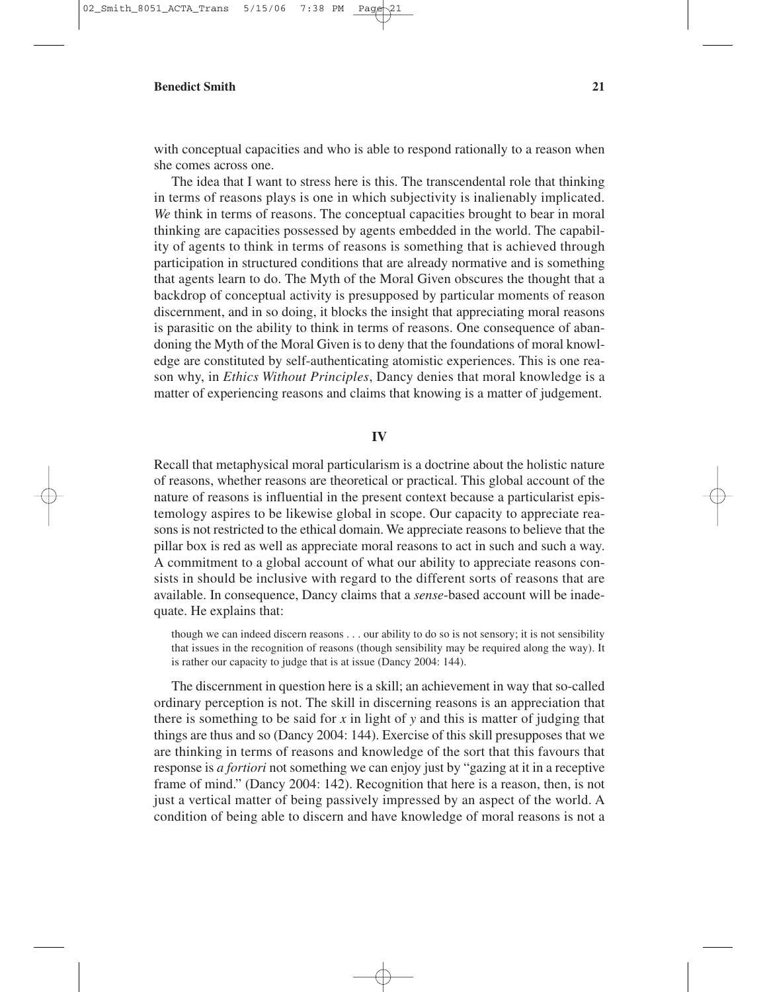with conceptual capacities and who is able to respond rationally to a reason when she comes across one.

The idea that I want to stress here is this. The transcendental role that thinking in terms of reasons plays is one in which subjectivity is inalienably implicated. *We* think in terms of reasons. The conceptual capacities brought to bear in moral thinking are capacities possessed by agents embedded in the world. The capability of agents to think in terms of reasons is something that is achieved through participation in structured conditions that are already normative and is something that agents learn to do. The Myth of the Moral Given obscures the thought that a backdrop of conceptual activity is presupposed by particular moments of reason discernment, and in so doing, it blocks the insight that appreciating moral reasons is parasitic on the ability to think in terms of reasons. One consequence of abandoning the Myth of the Moral Given is to deny that the foundations of moral knowledge are constituted by self-authenticating atomistic experiences. This is one reason why, in *Ethics Without Principles*, Dancy denies that moral knowledge is a matter of experiencing reasons and claims that knowing is a matter of judgement.

### **IV**

Recall that metaphysical moral particularism is a doctrine about the holistic nature of reasons, whether reasons are theoretical or practical. This global account of the nature of reasons is influential in the present context because a particularist epistemology aspires to be likewise global in scope. Our capacity to appreciate reasons is not restricted to the ethical domain. We appreciate reasons to believe that the pillar box is red as well as appreciate moral reasons to act in such and such a way. A commitment to a global account of what our ability to appreciate reasons consists in should be inclusive with regard to the different sorts of reasons that are available. In consequence, Dancy claims that a *sense*-based account will be inadequate. He explains that:

though we can indeed discern reasons . . . our ability to do so is not sensory; it is not sensibility that issues in the recognition of reasons (though sensibility may be required along the way). It is rather our capacity to judge that is at issue (Dancy 2004: 144).

The discernment in question here is a skill; an achievement in way that so-called ordinary perception is not. The skill in discerning reasons is an appreciation that there is something to be said for *x* in light of *y* and this is matter of judging that things are thus and so (Dancy 2004: 144). Exercise of this skill presupposes that we are thinking in terms of reasons and knowledge of the sort that this favours that response is *a fortiori* not something we can enjoy just by "gazing at it in a receptive frame of mind." (Dancy 2004: 142). Recognition that here is a reason, then, is not just a vertical matter of being passively impressed by an aspect of the world. A condition of being able to discern and have knowledge of moral reasons is not a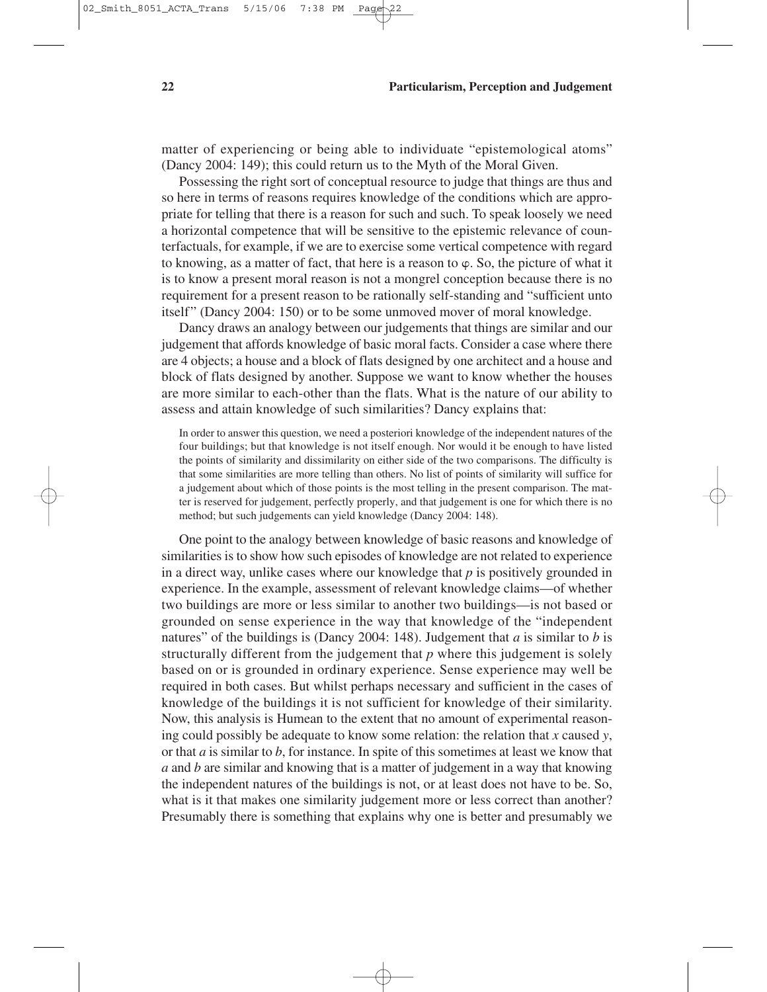matter of experiencing or being able to individuate "epistemological atoms" (Dancy 2004: 149); this could return us to the Myth of the Moral Given.

Possessing the right sort of conceptual resource to judge that things are thus and so here in terms of reasons requires knowledge of the conditions which are appropriate for telling that there is a reason for such and such. To speak loosely we need a horizontal competence that will be sensitive to the epistemic relevance of counterfactuals, for example, if we are to exercise some vertical competence with regard to knowing, as a matter of fact, that here is a reason to  $\varphi$ . So, the picture of what it is to know a present moral reason is not a mongrel conception because there is no requirement for a present reason to be rationally self-standing and "sufficient unto itself" (Dancy 2004: 150) or to be some unmoved mover of moral knowledge.

Dancy draws an analogy between our judgements that things are similar and our judgement that affords knowledge of basic moral facts. Consider a case where there are 4 objects; a house and a block of flats designed by one architect and a house and block of flats designed by another. Suppose we want to know whether the houses are more similar to each-other than the flats. What is the nature of our ability to assess and attain knowledge of such similarities? Dancy explains that:

In order to answer this question, we need a posteriori knowledge of the independent natures of the four buildings; but that knowledge is not itself enough. Nor would it be enough to have listed the points of similarity and dissimilarity on either side of the two comparisons. The difficulty is that some similarities are more telling than others. No list of points of similarity will suffice for a judgement about which of those points is the most telling in the present comparison. The matter is reserved for judgement, perfectly properly, and that judgement is one for which there is no method; but such judgements can yield knowledge (Dancy 2004: 148).

One point to the analogy between knowledge of basic reasons and knowledge of similarities is to show how such episodes of knowledge are not related to experience in a direct way, unlike cases where our knowledge that *p* is positively grounded in experience. In the example, assessment of relevant knowledge claims—of whether two buildings are more or less similar to another two buildings—is not based or grounded on sense experience in the way that knowledge of the "independent natures" of the buildings is (Dancy 2004: 148). Judgement that *a* is similar to *b* is structurally different from the judgement that *p* where this judgement is solely based on or is grounded in ordinary experience. Sense experience may well be required in both cases. But whilst perhaps necessary and sufficient in the cases of knowledge of the buildings it is not sufficient for knowledge of their similarity. Now, this analysis is Humean to the extent that no amount of experimental reasoning could possibly be adequate to know some relation: the relation that *x* caused *y*, or that *a* is similar to *b*, for instance. In spite of this sometimes at least we know that *a* and *b* are similar and knowing that is a matter of judgement in a way that knowing the independent natures of the buildings is not, or at least does not have to be. So, what is it that makes one similarity judgement more or less correct than another? Presumably there is something that explains why one is better and presumably we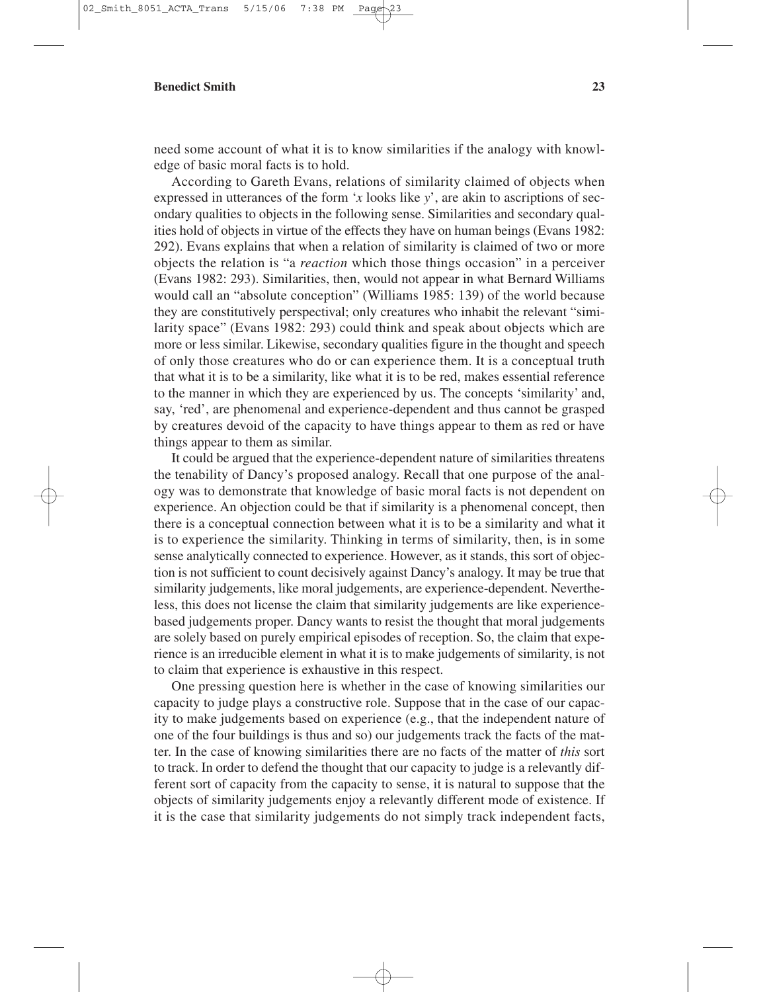need some account of what it is to know similarities if the analogy with knowledge of basic moral facts is to hold.

According to Gareth Evans, relations of similarity claimed of objects when expressed in utterances of the form '*x* looks like *y*', are akin to ascriptions of secondary qualities to objects in the following sense. Similarities and secondary qualities hold of objects in virtue of the effects they have on human beings (Evans 1982: 292). Evans explains that when a relation of similarity is claimed of two or more objects the relation is "a *reaction* which those things occasion" in a perceiver (Evans 1982: 293). Similarities, then, would not appear in what Bernard Williams would call an "absolute conception" (Williams 1985: 139) of the world because they are constitutively perspectival; only creatures who inhabit the relevant "similarity space" (Evans 1982: 293) could think and speak about objects which are more or less similar. Likewise, secondary qualities figure in the thought and speech of only those creatures who do or can experience them. It is a conceptual truth that what it is to be a similarity, like what it is to be red, makes essential reference to the manner in which they are experienced by us. The concepts 'similarity' and, say, 'red', are phenomenal and experience-dependent and thus cannot be grasped by creatures devoid of the capacity to have things appear to them as red or have things appear to them as similar.

It could be argued that the experience-dependent nature of similarities threatens the tenability of Dancy's proposed analogy. Recall that one purpose of the analogy was to demonstrate that knowledge of basic moral facts is not dependent on experience. An objection could be that if similarity is a phenomenal concept, then there is a conceptual connection between what it is to be a similarity and what it is to experience the similarity. Thinking in terms of similarity, then, is in some sense analytically connected to experience. However, as it stands, this sort of objection is not sufficient to count decisively against Dancy's analogy. It may be true that similarity judgements, like moral judgements, are experience-dependent. Nevertheless, this does not license the claim that similarity judgements are like experiencebased judgements proper. Dancy wants to resist the thought that moral judgements are solely based on purely empirical episodes of reception. So, the claim that experience is an irreducible element in what it is to make judgements of similarity, is not to claim that experience is exhaustive in this respect.

One pressing question here is whether in the case of knowing similarities our capacity to judge plays a constructive role. Suppose that in the case of our capacity to make judgements based on experience (e.g., that the independent nature of one of the four buildings is thus and so) our judgements track the facts of the matter. In the case of knowing similarities there are no facts of the matter of *this* sort to track. In order to defend the thought that our capacity to judge is a relevantly different sort of capacity from the capacity to sense, it is natural to suppose that the objects of similarity judgements enjoy a relevantly different mode of existence. If it is the case that similarity judgements do not simply track independent facts,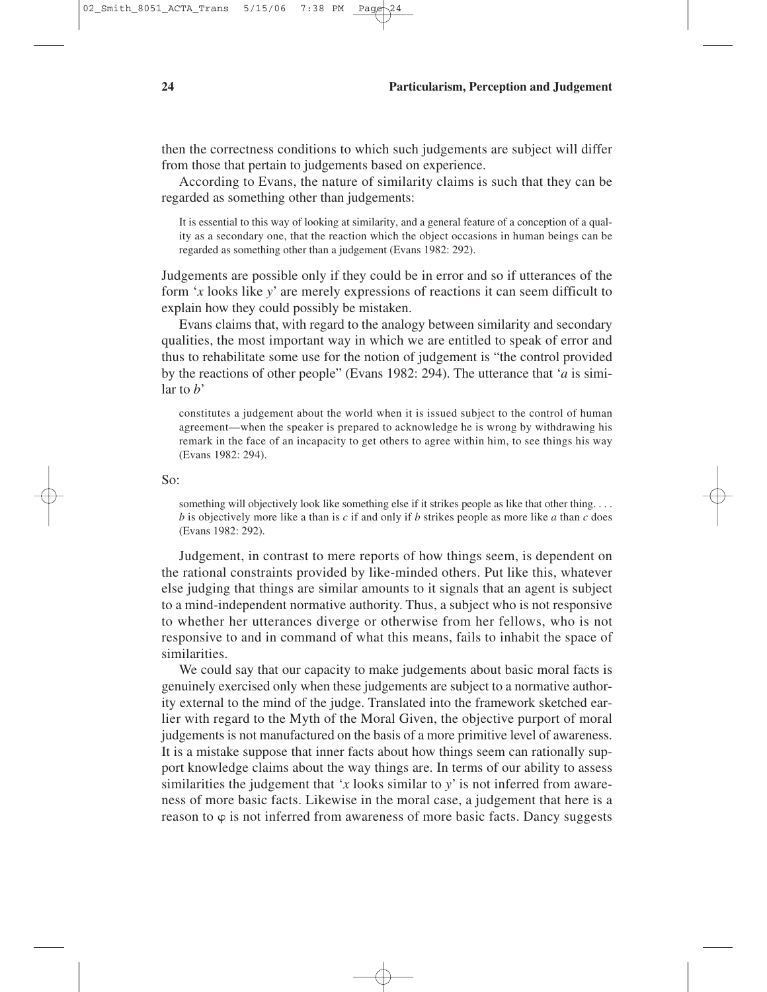then the correctness conditions to which such judgements are subject will differ from those that pertain to judgements based on experience.

According to Evans, the nature of similarity claims is such that they can be regarded as something other than judgements:

It is essential to this way of looking at similarity, and a general feature of a conception of a quality as a secondary one, that the reaction which the object occasions in human beings can be regarded as something other than a judgement (Evans 1982: 292).

Judgements are possible only if they could be in error and so if utterances of the form '*x* looks like *y*' are merely expressions of reactions it can seem difficult to explain how they could possibly be mistaken.

Evans claims that, with regard to the analogy between similarity and secondary qualities, the most important way in which we are entitled to speak of error and thus to rehabilitate some use for the notion of judgement is "the control provided by the reactions of other people" (Evans 1982: 294). The utterance that '*a* is similar to *b*'

constitutes a judgement about the world when it is issued subject to the control of human agreement—when the speaker is prepared to acknowledge he is wrong by withdrawing his remark in the face of an incapacity to get others to agree within him, to see things his way (Evans 1982: 294).

So:

something will objectively look like something else if it strikes people as like that other thing. . . . *b* is objectively more like a than is *c* if and only if *b* strikes people as more like *a* than *c* does (Evans 1982: 292).

Judgement, in contrast to mere reports of how things seem, is dependent on the rational constraints provided by like-minded others. Put like this, whatever else judging that things are similar amounts to it signals that an agent is subject to a mind-independent normative authority. Thus, a subject who is not responsive to whether her utterances diverge or otherwise from her fellows, who is not responsive to and in command of what this means, fails to inhabit the space of similarities.

We could say that our capacity to make judgements about basic moral facts is genuinely exercised only when these judgements are subject to a normative authority external to the mind of the judge. Translated into the framework sketched earlier with regard to the Myth of the Moral Given, the objective purport of moral judgements is not manufactured on the basis of a more primitive level of awareness. It is a mistake suppose that inner facts about how things seem can rationally support knowledge claims about the way things are. In terms of our ability to assess similarities the judgement that '*x* looks similar to *y*' is not inferred from awareness of more basic facts. Likewise in the moral case, a judgement that here is a reason to  $\varphi$  is not inferred from awareness of more basic facts. Dancy suggests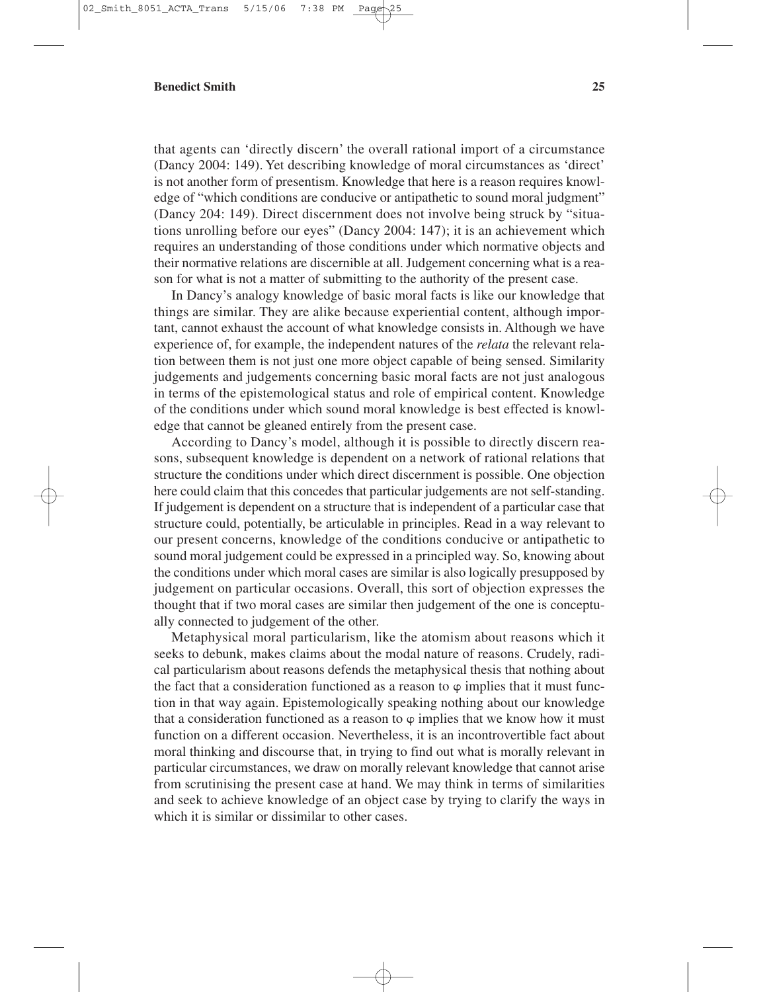that agents can 'directly discern' the overall rational import of a circumstance (Dancy 2004: 149). Yet describing knowledge of moral circumstances as 'direct' is not another form of presentism. Knowledge that here is a reason requires knowledge of "which conditions are conducive or antipathetic to sound moral judgment" (Dancy 204: 149). Direct discernment does not involve being struck by "situations unrolling before our eyes" (Dancy 2004: 147); it is an achievement which requires an understanding of those conditions under which normative objects and their normative relations are discernible at all. Judgement concerning what is a reason for what is not a matter of submitting to the authority of the present case.

In Dancy's analogy knowledge of basic moral facts is like our knowledge that things are similar. They are alike because experiential content, although important, cannot exhaust the account of what knowledge consists in. Although we have experience of, for example, the independent natures of the *relata* the relevant relation between them is not just one more object capable of being sensed. Similarity judgements and judgements concerning basic moral facts are not just analogous in terms of the epistemological status and role of empirical content. Knowledge of the conditions under which sound moral knowledge is best effected is knowledge that cannot be gleaned entirely from the present case.

According to Dancy's model, although it is possible to directly discern reasons, subsequent knowledge is dependent on a network of rational relations that structure the conditions under which direct discernment is possible. One objection here could claim that this concedes that particular judgements are not self-standing. If judgement is dependent on a structure that is independent of a particular case that structure could, potentially, be articulable in principles. Read in a way relevant to our present concerns, knowledge of the conditions conducive or antipathetic to sound moral judgement could be expressed in a principled way. So, knowing about the conditions under which moral cases are similar is also logically presupposed by judgement on particular occasions. Overall, this sort of objection expresses the thought that if two moral cases are similar then judgement of the one is conceptually connected to judgement of the other.

Metaphysical moral particularism, like the atomism about reasons which it seeks to debunk, makes claims about the modal nature of reasons. Crudely, radical particularism about reasons defends the metaphysical thesis that nothing about the fact that a consideration functioned as a reason to  $\varphi$  implies that it must function in that way again. Epistemologically speaking nothing about our knowledge that a consideration functioned as a reason to  $\varphi$  implies that we know how it must function on a different occasion. Nevertheless, it is an incontrovertible fact about moral thinking and discourse that, in trying to find out what is morally relevant in particular circumstances, we draw on morally relevant knowledge that cannot arise from scrutinising the present case at hand. We may think in terms of similarities and seek to achieve knowledge of an object case by trying to clarify the ways in which it is similar or dissimilar to other cases.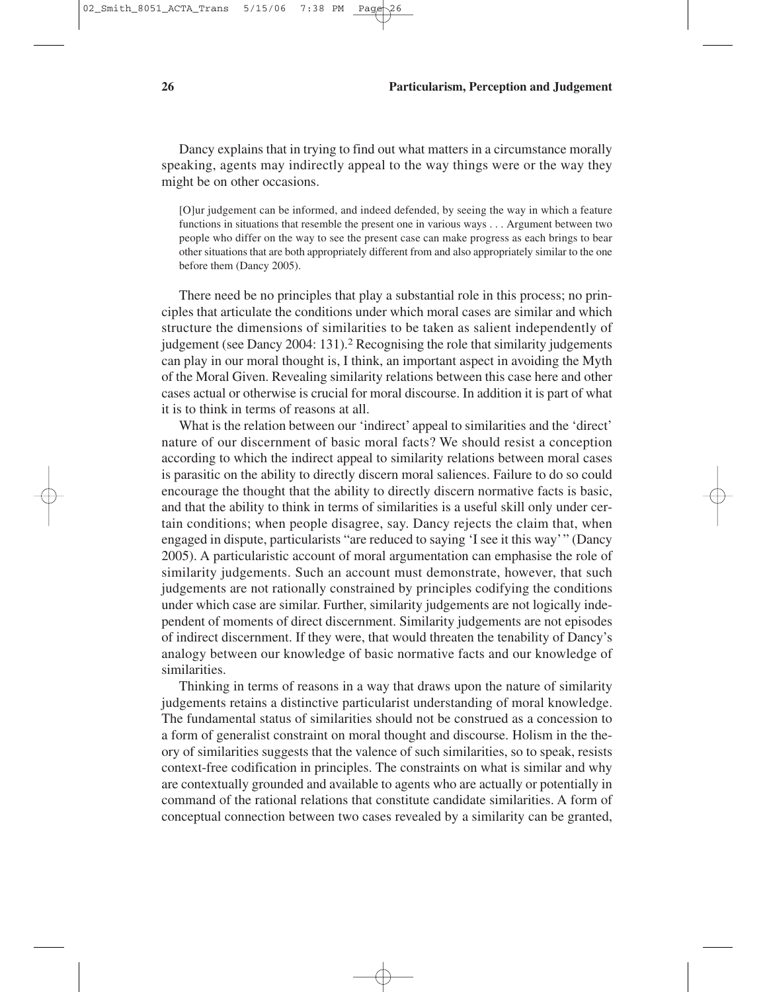Dancy explains that in trying to find out what matters in a circumstance morally speaking, agents may indirectly appeal to the way things were or the way they might be on other occasions.

[O]ur judgement can be informed, and indeed defended, by seeing the way in which a feature functions in situations that resemble the present one in various ways . . . Argument between two people who differ on the way to see the present case can make progress as each brings to bear other situations that are both appropriately different from and also appropriately similar to the one before them (Dancy 2005).

There need be no principles that play a substantial role in this process; no principles that articulate the conditions under which moral cases are similar and which structure the dimensions of similarities to be taken as salient independently of judgement (see Dancy 2004: 131).<sup>2</sup> Recognising the role that similarity judgements can play in our moral thought is, I think, an important aspect in avoiding the Myth of the Moral Given. Revealing similarity relations between this case here and other cases actual or otherwise is crucial for moral discourse. In addition it is part of what it is to think in terms of reasons at all.

What is the relation between our 'indirect' appeal to similarities and the 'direct' nature of our discernment of basic moral facts? We should resist a conception according to which the indirect appeal to similarity relations between moral cases is parasitic on the ability to directly discern moral saliences. Failure to do so could encourage the thought that the ability to directly discern normative facts is basic, and that the ability to think in terms of similarities is a useful skill only under certain conditions; when people disagree, say. Dancy rejects the claim that, when engaged in dispute, particularists "are reduced to saying 'I see it this way'" (Dancy 2005). A particularistic account of moral argumentation can emphasise the role of similarity judgements. Such an account must demonstrate, however, that such judgements are not rationally constrained by principles codifying the conditions under which case are similar. Further, similarity judgements are not logically independent of moments of direct discernment. Similarity judgements are not episodes of indirect discernment. If they were, that would threaten the tenability of Dancy's analogy between our knowledge of basic normative facts and our knowledge of similarities.

Thinking in terms of reasons in a way that draws upon the nature of similarity judgements retains a distinctive particularist understanding of moral knowledge. The fundamental status of similarities should not be construed as a concession to a form of generalist constraint on moral thought and discourse. Holism in the theory of similarities suggests that the valence of such similarities, so to speak, resists context-free codification in principles. The constraints on what is similar and why are contextually grounded and available to agents who are actually or potentially in command of the rational relations that constitute candidate similarities. A form of conceptual connection between two cases revealed by a similarity can be granted,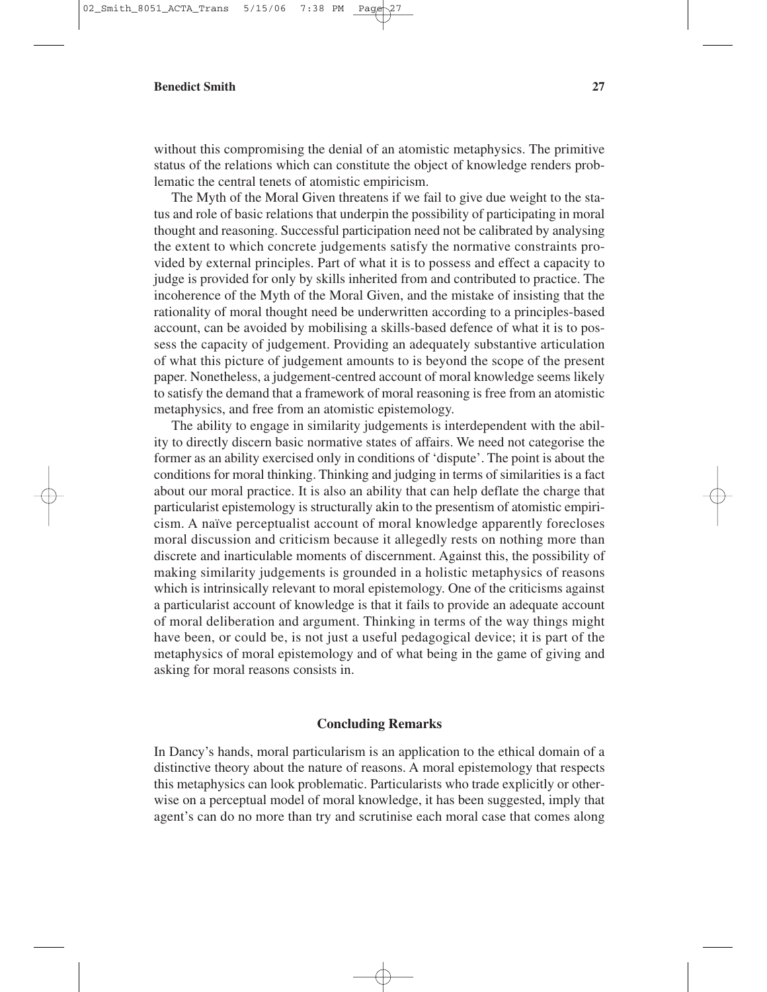without this compromising the denial of an atomistic metaphysics. The primitive status of the relations which can constitute the object of knowledge renders problematic the central tenets of atomistic empiricism.

The Myth of the Moral Given threatens if we fail to give due weight to the status and role of basic relations that underpin the possibility of participating in moral thought and reasoning. Successful participation need not be calibrated by analysing the extent to which concrete judgements satisfy the normative constraints provided by external principles. Part of what it is to possess and effect a capacity to judge is provided for only by skills inherited from and contributed to practice. The incoherence of the Myth of the Moral Given, and the mistake of insisting that the rationality of moral thought need be underwritten according to a principles-based account, can be avoided by mobilising a skills-based defence of what it is to possess the capacity of judgement. Providing an adequately substantive articulation of what this picture of judgement amounts to is beyond the scope of the present paper. Nonetheless, a judgement-centred account of moral knowledge seems likely to satisfy the demand that a framework of moral reasoning is free from an atomistic metaphysics, and free from an atomistic epistemology.

The ability to engage in similarity judgements is interdependent with the ability to directly discern basic normative states of affairs. We need not categorise the former as an ability exercised only in conditions of 'dispute'. The point is about the conditions for moral thinking. Thinking and judging in terms of similarities is a fact about our moral practice. It is also an ability that can help deflate the charge that particularist epistemology is structurally akin to the presentism of atomistic empiricism. A naïve perceptualist account of moral knowledge apparently forecloses moral discussion and criticism because it allegedly rests on nothing more than discrete and inarticulable moments of discernment. Against this, the possibility of making similarity judgements is grounded in a holistic metaphysics of reasons which is intrinsically relevant to moral epistemology. One of the criticisms against a particularist account of knowledge is that it fails to provide an adequate account of moral deliberation and argument. Thinking in terms of the way things might have been, or could be, is not just a useful pedagogical device; it is part of the metaphysics of moral epistemology and of what being in the game of giving and asking for moral reasons consists in.

#### **Concluding Remarks**

In Dancy's hands, moral particularism is an application to the ethical domain of a distinctive theory about the nature of reasons. A moral epistemology that respects this metaphysics can look problematic. Particularists who trade explicitly or otherwise on a perceptual model of moral knowledge, it has been suggested, imply that agent's can do no more than try and scrutinise each moral case that comes along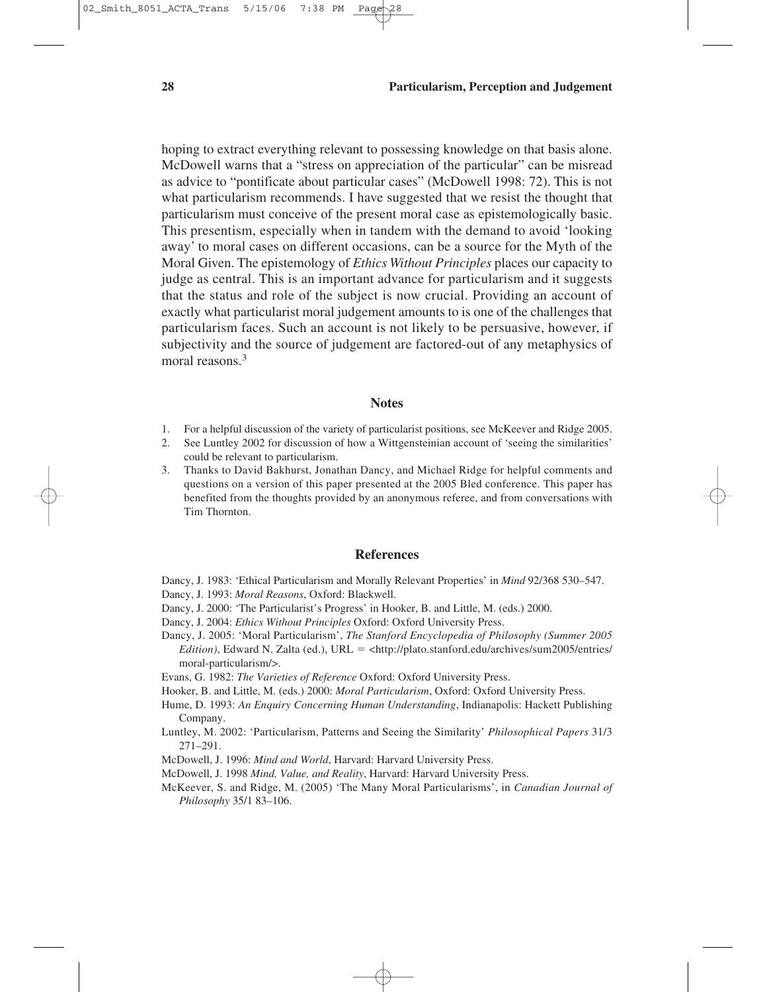hoping to extract everything relevant to possessing knowledge on that basis alone. McDowell warns that a "stress on appreciation of the particular" can be misread as advice to "pontificate about particular cases" (McDowell 1998: 72). This is not what particularism recommends. I have suggested that we resist the thought that particularism must conceive of the present moral case as epistemologically basic. This presentism, especially when in tandem with the demand to avoid 'looking away' to moral cases on different occasions, can be a source for the Myth of the Moral Given. The epistemology of *Ethics Without Principles* places our capacity to judge as central. This is an important advance for particularism and it suggests that the status and role of the subject is now crucial. Providing an account of exactly what particularist moral judgement amounts to is one of the challenges that particularism faces. Such an account is not likely to be persuasive, however, if subjectivity and the source of judgement are factored-out of any metaphysics of moral reasons.3

#### **Notes**

- 1. For a helpful discussion of the variety of particularist positions, see McKeever and Ridge 2005.
- 2. See Luntley 2002 for discussion of how a Wittgensteinian account of 'seeing the similarities' could be relevant to particularism.
- 3. Thanks to David Bakhurst, Jonathan Dancy, and Michael Ridge for helpful comments and questions on a version of this paper presented at the 2005 Bled conference. This paper has benefited from the thoughts provided by an anonymous referee, and from conversations with Tim Thornton.

### **References**

Dancy, J. 1983: 'Ethical Particularism and Morally Relevant Properties' in *Mind* 92/368 530–547.

- Dancy, J. 1993: *Moral Reasons*, Oxford: Blackwell.
- Dancy, J. 2000: 'The Particularist's Progress' in Hooker, B. and Little, M. (eds.) 2000.
- Dancy, J. 2004: *Ethics Without Principles* Oxford: Oxford University Press.
- Dancy, J. 2005: 'Moral Particularism', *The Stanford Encyclopedia of Philosophy (Summer 2005* Edition), Edward N. Zalta (ed.), URL = <http://plato.stanford.edu/archives/sum2005/entries/ moral-particularism/>.
- Evans, G. 1982: *The Varieties of Reference* Oxford: Oxford University Press.
- Hooker, B. and Little, M. (eds.) 2000: *Moral Particularism*, Oxford: Oxford University Press.
- Hume, D. 1993: *An Enquiry Concerning Human Understanding*, Indianapolis: Hackett Publishing Company.
- Luntley, M. 2002: 'Particularism, Patterns and Seeing the Similarity' *Philosophical Papers* 31/3 271–291.
- McDowell, J. 1996: *Mind and World*, Harvard: Harvard University Press.
- McDowell, J. 1998 *Mind, Value, and Reality*, Harvard: Harvard University Press.
- McKeever, S. and Ridge, M. (2005) 'The Many Moral Particularisms', in *Canadian Journal of Philosophy* 35/1 83–106.

02\_Smith\_8051\_ACTA\_Trans 5/15/06 7:38 PM